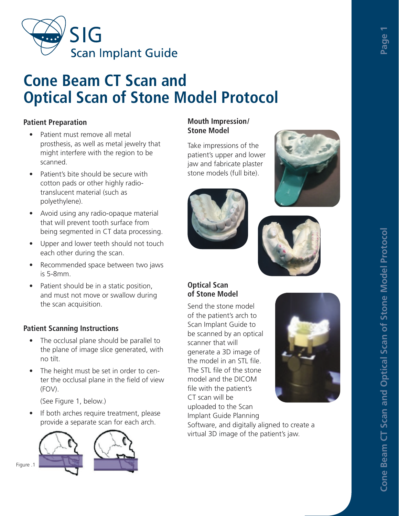

# **Cone Beam CT Scan and Optical Scan of Stone Model Protocol**

#### **Patient Preparation**

- Patient must remove all metal prosthesis, as well as metal jewelry that might interfere with the region to be scanned.
- Patient's bite should be secure with cotton pads or other highly radiotranslucent material (such as polyethylene).
- Avoid using any radio-opaque material that will prevent tooth surface from being segmented in CT data processing.
- Upper and lower teeth should not touch each other during the scan.
- Recommended space between two jaws is 5-8mm.
- Patient should be in a static position, and must not move or swallow during the scan acquisition.

#### **Patient Scanning Instructions**

- The occlusal plane should be parallel to the plane of image slice generated, with no tilt.
- The height must be set in order to center the occlusal plane in the field of view (FOV).

(See Figure 1, below.)

• If both arches require treatment, please provide a separate scan for each arch.



## **Mouth Impression/ Stone Model**

Take impressions of the patient's upper and lower jaw and fabricate plaster stone models (full bite).







#### **Optical Scan of Stone Model**

Send the stone model of the patient's arch to Scan Implant Guide to be scanned by an optical scanner that will generate a 3D image of the model in an STL file. The STL file of the stone model and the DICOM file with the patient's CT scan will be uploaded to the Scan Implant Guide Planning



Software, and digitally aligned to create a virtual 3D image of the patient's jaw.